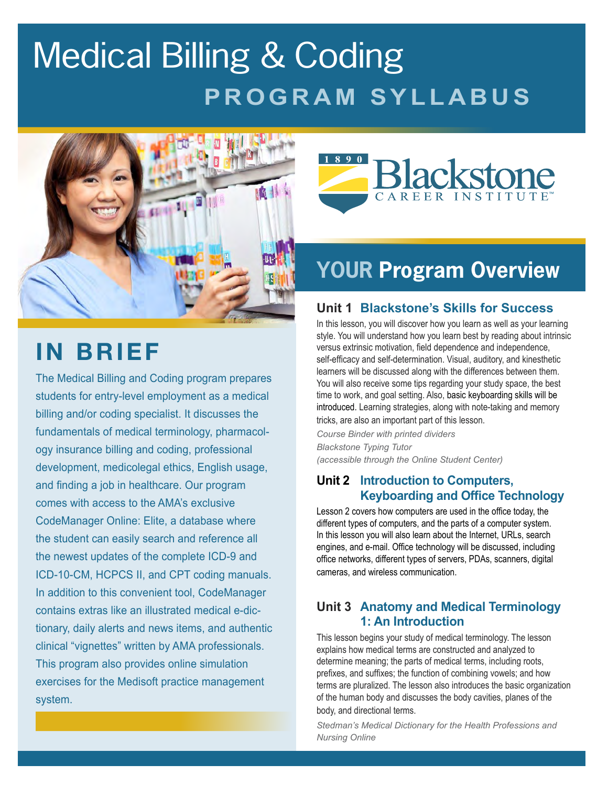# Medical Billing & Coding **PROGRAM SYLLABUS**



## **IN BRIEF**

The Medical Billing and Coding program prepares students for entry-level employment as a medical billing and/or coding specialist. It discusses the fundamentals of medical terminology, pharmacology insurance billing and coding, professional development, medicolegal ethics, English usage, and finding a job in healthcare. Our program comes with access to the AMA's exclusive CodeManager Online: Elite, a database where the student can easily search and reference all the newest updates of the complete ICD-9 and ICD-10-CM, HCPCS II, and CPT coding manuals. In addition to this convenient tool, CodeManager contains extras like an illustrated medical e-dictionary, daily alerts and news items, and authentic clinical "vignettes" written by AMA professionals. This program also provides online simulation exercises for the Medisoft practice management system.



## **YOUR Program Overview**

## **Unit 1 Blackstone's Skills for Success**

In this lesson, you will discover how you learn as well as your learning style. You will understand how you learn best by reading about intrinsic versus extrinsic motivation, field dependence and independence, self-efficacy and self-determination. Visual, auditory, and kinesthetic learners will be discussed along with the differences between them. You will also receive some tips regarding your study space, the best time to work, and goal setting. Also, basic keyboarding skills will be introduced. Learning strategies, along with note-taking and memory tricks, are also an important part of this lesson.

*Course Binder with printed dividers Blackstone Typing Tutor (accessible through the Online Student Center)*

## **Unit 2 Introduction to Computers, Keyboarding and Office Technology**

Lesson 2 covers how computers are used in the office today, the different types of computers, and the parts of a computer system. In this lesson you will also learn about the Internet, URLs, search engines, and e-mail. Office technology will be discussed, including office networks, different types of servers, PDAs, scanners, digital cameras, and wireless communication.

#### **Unit 3 Anatomy and Medical Terminology 1: An Introduction**

This lesson begins your study of medical terminology. The lesson explains how medical terms are constructed and analyzed to determine meaning; the parts of medical terms, including roots, prefixes, and suffixes; the function of combining vowels; and how terms are pluralized. The lesson also introduces the basic organization of the human body and discusses the body cavities, planes of the body, and directional terms.

*Stedman's Medical Dictionary for the Health Professions and Nursing Online*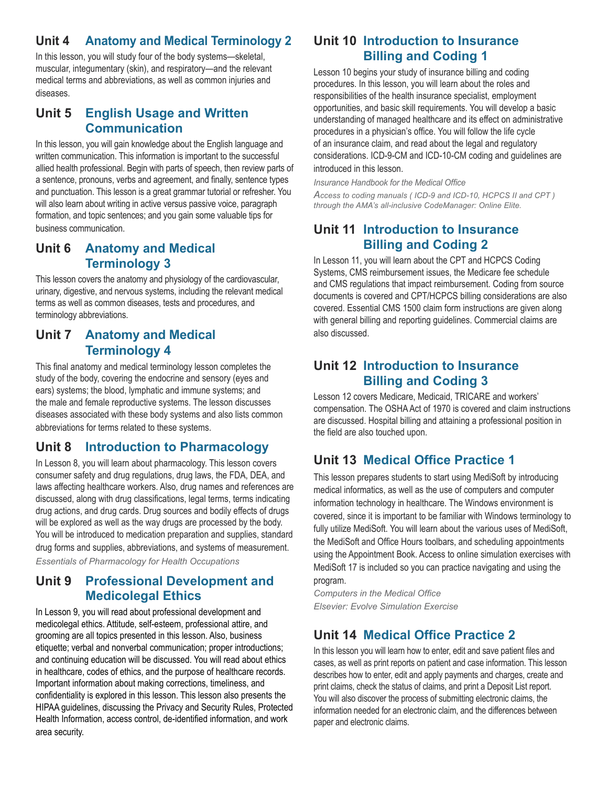## **Unit 4 Anatomy and Medical Terminology 2**

In this lesson, you will study four of the body systems—skeletal, muscular, integumentary (skin), and respiratory—and the relevant medical terms and abbreviations, as well as common injuries and diseases.

## **Unit 5 English Usage and Written Communication**

In this lesson, you will gain knowledge about the English language and written communication. This information is important to the successful allied health professional. Begin with parts of speech, then review parts of a sentence, pronouns, verbs and agreement, and finally, sentence types and punctuation. This lesson is a great grammar tutorial or refresher. You will also learn about writing in active versus passive voice, paragraph formation, and topic sentences; and you gain some valuable tips for business communication.

### **Unit 6 Anatomy and Medical Terminology 3**

This lesson covers the anatomy and physiology of the cardiovascular, urinary, digestive, and nervous systems, including the relevant medical terms as well as common diseases, tests and procedures, and terminology abbreviations.

## **Unit 7 Anatomy and Medical Terminology 4**

This final anatomy and medical terminology lesson completes the study of the body, covering the endocrine and sensory (eyes and ears) systems; the blood, lymphatic and immune systems; and the male and female reproductive systems. The lesson discusses diseases associated with these body systems and also lists common abbreviations for terms related to these systems.

## **Unit 8 Introduction to Pharmacology**

In Lesson 8, you will learn about pharmacology. This lesson covers consumer safety and drug regulations, drug laws, the FDA, DEA, and laws affecting healthcare workers. Also, drug names and references are discussed, along with drug classifications, legal terms, terms indicating drug actions, and drug cards. Drug sources and bodily effects of drugs will be explored as well as the way drugs are processed by the body. You will be introduced to medication preparation and supplies, standard drug forms and supplies, abbreviations, and systems of measurement.

*Essentials of Pharmacology for Health Occupations*

## **Unit 9 Professional Development and Medicolegal Ethics**

In Lesson 9, you will read about professional development and medicolegal ethics. Attitude, self-esteem, professional attire, and grooming are all topics presented in this lesson. Also, business etiquette; verbal and nonverbal communication; proper introductions; and continuing education will be discussed. You will read about ethics in healthcare, codes of ethics, and the purpose of healthcare records. Important information about making corrections, timeliness, and confidentiality is explored in this lesson. This lesson also presents the HIPAA guidelines, discussing the Privacy and Security Rules, Protected Health Information, access control, de-identified information, and work area security.

## **Unit 10 Introduction to Insurance Billing and Coding 1**

Lesson 10 begins your study of insurance billing and coding procedures. In this lesson, you will learn about the roles and responsibilities of the health insurance specialist, employment opportunities, and basic skill requirements. You will develop a basic understanding of managed healthcare and its effect on administrative procedures in a physician's office. You will follow the life cycle of an insurance claim, and read about the legal and regulatory considerations. ICD-9-CM and ICD-10-CM coding and guidelines are introduced in this lesson.

*Insurance Handbook for the Medical Office*

*Access to coding manuals ( ICD-9 and ICD-10, HCPCS II and CPT ) through the AMA's all-inclusive CodeManager: Online Elite.*

## **Unit 11 Introduction to Insurance Billing and Coding 2**

In Lesson 11, you will learn about the CPT and HCPCS Coding Systems, CMS reimbursement issues, the Medicare fee schedule and CMS regulations that impact reimbursement. Coding from source documents is covered and CPT/HCPCS billing considerations are also covered. Essential CMS 1500 claim form instructions are given along with general billing and reporting guidelines. Commercial claims are also discussed.

## **Unit 12 Introduction to Insurance Billing and Coding 3**

Lesson 12 covers Medicare, Medicaid, TRICARE and workers' compensation. The OSHA Act of 1970 is covered and claim instructions are discussed. Hospital billing and attaining a professional position in the field are also touched upon.

## **Unit 13 Medical Office Practice 1**

This lesson prepares students to start using MediSoft by introducing medical informatics, as well as the use of computers and computer information technology in healthcare. The Windows environment is covered, since it is important to be familiar with Windows terminology to fully utilize MediSoft. You will learn about the various uses of MediSoft, the MediSoft and Office Hours toolbars, and scheduling appointments using the Appointment Book. Access to online simulation exercises with MediSoft 17 is included so you can practice navigating and using the program.

*Computers in the Medical Office Elsevier: Evolve Simulation Exercise*

## **Unit 14 Medical Office Practice 2**

In this lesson you will learn how to enter, edit and save patient files and cases, as well as print reports on patient and case information. This lesson describes how to enter, edit and apply payments and charges, create and print claims, check the status of claims, and print a Deposit List report. You will also discover the process of submitting electronic claims, the information needed for an electronic claim, and the differences between paper and electronic claims.